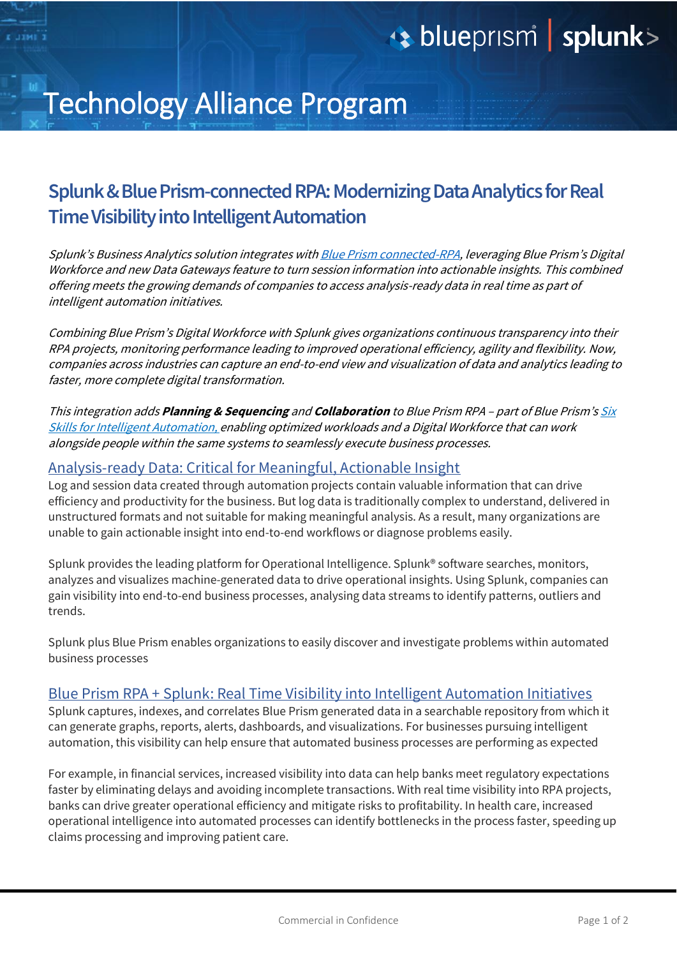# **blueprism splunk>**

## Technology Alliance Program

### **Splunk & Blue Prism-connected RPA: Modernizing Data Analytics for Real Time Visibility into Intelligent Automation**

Splunk's Business Analytics solution integrates with **Blue Prism [connected-RPA,](https://www.blueprism.com/news/blue-prism-drives-new-era-of-collaborative-innovation-and-intelligent-automation-with-connected-rpa) leveraging Blue Prism's Digital** Workforce and new Data Gateways feature to turn session information into actionable insights. This combined offering meets the growing demands of companies to access analysis-ready data in real time as part of intelligent automation initiatives.

Combining Blue Prism's Digital Workforce with Splunk gives organizations continuous transparency into their RPA projects, monitoring performance leading to improved operational efficiency, agility and flexibility. Now, companies across industries can capture an end-to-end view and visualization of data and analytics leading to faster, more complete digital transformation.

This integration adds **Planning & Sequencing** and **Collaboration** to Blue Prism RPA – part of Blue Prism's [Six](https://www.blueprism.com/intelligent-automation-skills)  [Skills for Intelligent Automation,](https://www.blueprism.com/intelligent-automation-skills) enabling optimized workloads and a Digital Workforce that can work alongside people within the same systems to seamlessly execute business processes.

### Analysis-ready Data: Critical for Meaningful, Actionable Insight

Log and session data created through automation projects contain valuable information that can drive efficiency and productivity for the business. But log data is traditionally complex to understand, delivered in unstructured formats and not suitable for making meaningful analysis. As a result, many organizations are unable to gain actionable insight into end-to-end workflows or diagnose problems easily.

Splunk provides the leading platform for Operational Intelligence. Splunk® software searches, monitors, analyzes and visualizes machine-generated data to drive operational insights. Using Splunk, companies can gain visibility into end-to-end business processes, analysing data streams to identify patterns, outliers and trends.

Splunk plus Blue Prism enables organizations to easily discover and investigate problems within automated business processes

### Blue Prism RPA + Splunk: Real Time Visibility into Intelligent Automation Initiatives

Splunk captures, indexes, and correlates Blue Prism generated data in a searchable repository from which it can generate graphs, reports, alerts, dashboards, and visualizations. For businesses pursuing intelligent automation, this visibility can help ensure that automated business processes are performing as expected

For example, in financial services, increased visibility into data can help banks meet regulatory expectations faster by eliminating delays and avoiding incomplete transactions. With real time visibility into RPA projects, banks can drive greater operational efficiency and mitigate risks to profitability. In health care, increased operational intelligence into automated processes can identify bottlenecks in the process faster, speeding up claims processing and improving patient care.